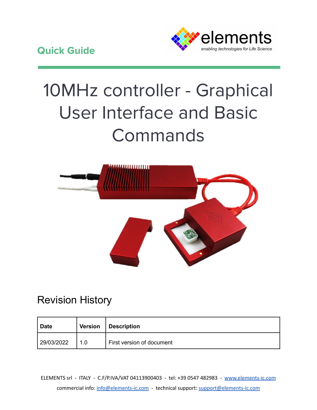

# 10MHz controller - Graphical User Interface and Basic Commands



# Revision History

| Date       | <b>Version</b> | Description               |
|------------|----------------|---------------------------|
| 29/03/2022 | 1.0            | First version of document |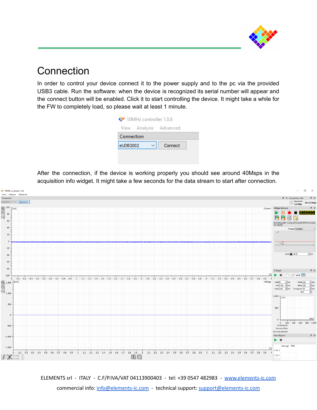

## **Connection**

In order to control your device connect it to the power supply and to the pc via the provided USB3 cable. Run the software: when the device is recognized its serial number will appear and the connect button will be enabled. Click it to start controlling the device. It might take a while for the FW to completely load, so please wait at least 1 minute.

| 10MHz controller 1.0.6 |  |                        |  |  |  |  |
|------------------------|--|------------------------|--|--|--|--|
|                        |  | View Analysis Advanced |  |  |  |  |
| Connection             |  |                        |  |  |  |  |
| eUDB2002               |  | Connect                |  |  |  |  |
|                        |  |                        |  |  |  |  |

After the connection, if the device is working properly you should see around 40Msps in the acquisition info widget. It might take a few seconds for the data stream to start after connection.



ELEMENTS srl - ITALY - C.F/P.IVA/VAT 04113900403 - tel: +39 0547 482983 - [www.elements-ic.com](http://www.elements-ic.com)

commercial info: [info@elements-ic.com](mailto:info@elements-ic.com) - technical support: [support@elements-ic.com](mailto:support@elements-ic.com)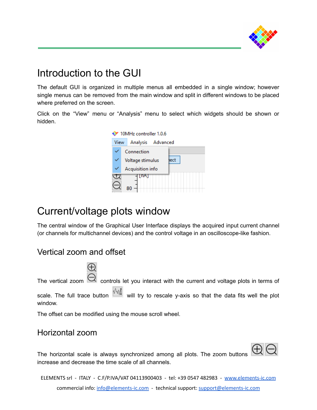

## Introduction to the GUI

The default GUI is organized in multiple menus all embedded in a single window; however single menus can be removed from the main window and split in different windows to be placed where preferred on the screen.

Click on the "View" menu or "Analysis" menu to select which widgets should be shown or hidden.



## Current/voltage plots window

The central window of the Graphical User Interface displays the acquired input current channel (or channels for multichannel devices) and the control voltage in an oscilloscope-like fashion.

## Vertical zoom and offset

| The vertical zoom $\bigcirc$ controls let you interact with the current and voltage plots in terms of                       |
|-----------------------------------------------------------------------------------------------------------------------------|
| scale. The full trace button $\frac{\sqrt{2}}{2}$ will try to rescale y-axis so that the data fits well the plot<br>window. |

The offset can be modified using the mouse scroll wheel.

#### Horizontal zoom

 $\oplus$  $\ominus$ 

The horizontal scale is always synchronized among all plots. The zoom buttons increase and decrease the time scale of all channels.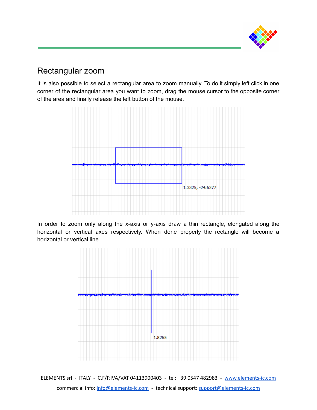

## Rectangular zoom

It is also possible to select a rectangular area to zoom manually. To do it simply left click in one corner of the rectangular area you want to zoom, drag the mouse cursor to the opposite corner of the area and finally release the left button of the mouse.



In order to zoom only along the x-axis or y-axis draw a thin rectangle, elongated along the horizontal or vertical axes respectively. When done properly the rectangle will become a horizontal or vertical line.

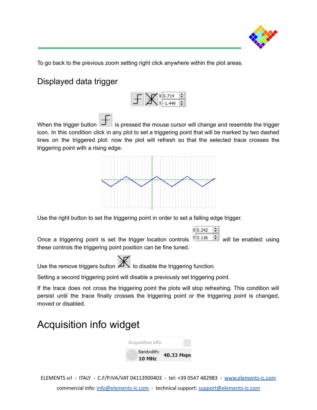

To go back to the previous zoom setting right click anywhere within the plot areas.

## Displayed data trigger



When the trigger button  $\boxed{1}$  is pressed the mouse cursor will change and resemble the trigger icon. In this condition click in any plot to set a triggering point that will be marked by two dashed lines on the triggered plot: now the plot will refresh so that the selected trace crosses the triggering point with a rising edge.



Use the right button to set the triggering point in order to set a falling edge trigger.

Once a triggering point is set the trigger location controls  $\mathbf{Y}$ <sup>0.116</sup>  $\div$  will be enabled: using these controls the triggering point position can be fine tuned.

Use the remove triggers button  $\mathbb{R}$  to disable the triggering function.

Setting a second triggering point will disable a previously set triggering point.

If the trace does not cross the triggering point the plots will stop refreshing. This condition will persist until the trace finally crosses the triggering point or the triggering point is changed, moved or disabled.

## Acquisition info widget



ELEMENTS srl - ITALY - C.F/P.IVA/VAT 04113900403 - tel: +39 0547 482983 - [www.elements-ic.com](http://www.elements-ic.com) commercial info: [info@elements-ic.com](mailto:info@elements-ic.com) - technical support: [support@elements-ic.com](mailto:support@elements-ic.com)

 $X|0.242$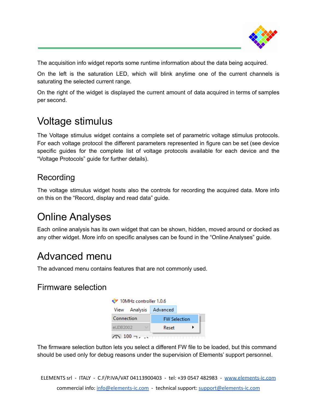

The acquisition info widget reports some runtime information about the data being acquired.

On the left is the saturation LED, which will blink anytime one of the current channels is saturating the selected current range.

On the right of the widget is displayed the current amount of data acquired in terms of samples per second.

# Voltage stimulus

The Voltage stimulus widget contains a complete set of parametric voltage stimulus protocols. For each voltage protocol the different parameters represented in figure can be set (see device specific guides for the complete list of voltage protocols available for each device and the "Voltage Protocols" guide for further details).

## Recording

The voltage stimulus widget hosts also the controls for recording the acquired data. More info on this on the "Record, display and read data" guide.

# Online Analyses

Each online analysis has its own widget that can be shown, hidden, moved around or docked as any other widget. More info on specific analyses can be found in the "Online Analyses" guide.

# Advanced menu

The advanced menu contains features that are not commonly used.

## Firmware selection

| 10MHz controller 1.0.6 |                     |  |  |  |  |  |
|------------------------|---------------------|--|--|--|--|--|
| View Analysis Advanced |                     |  |  |  |  |  |
| Connection             | <b>FW Selection</b> |  |  |  |  |  |
| eUDB2002               | Reset               |  |  |  |  |  |
| $100 - 1$              |                     |  |  |  |  |  |

The firmware selection button lets you select a different FW file to be loaded, but this command should be used only for debug reasons under the supervision of Elements' support personnel.